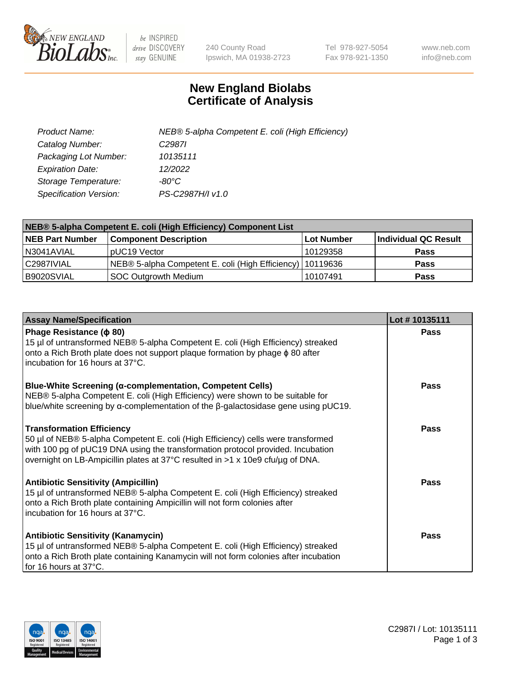

 $be$  INSPIRED drive DISCOVERY stay GENUINE

240 County Road Ipswich, MA 01938-2723 Tel 978-927-5054 Fax 978-921-1350 www.neb.com info@neb.com

## **New England Biolabs Certificate of Analysis**

| Product Name:           | NEB® 5-alpha Competent E. coli (High Efficiency) |
|-------------------------|--------------------------------------------------|
| Catalog Number:         | C <sub>2987</sub>                                |
| Packaging Lot Number:   | 10135111                                         |
| <b>Expiration Date:</b> | 12/2022                                          |
| Storage Temperature:    | -80°C                                            |
| Specification Version:  | PS-C2987H/I v1.0                                 |

| NEB® 5-alpha Competent E. coli (High Efficiency) Component List |                                                             |            |                      |  |
|-----------------------------------------------------------------|-------------------------------------------------------------|------------|----------------------|--|
| <b>NEB Part Number</b>                                          | <b>Component Description</b>                                | Lot Number | Individual QC Result |  |
| N3041AVIAL                                                      | pUC19 Vector                                                | 10129358   | <b>Pass</b>          |  |
| C2987IVIAL                                                      | NEB® 5-alpha Competent E. coli (High Efficiency)   10119636 |            | <b>Pass</b>          |  |
| B9020SVIAL                                                      | <b>SOC Outgrowth Medium</b>                                 | 10107491   | <b>Pass</b>          |  |

| <b>Assay Name/Specification</b>                                                                                                                                                                                                                                                           | Lot #10135111 |
|-------------------------------------------------------------------------------------------------------------------------------------------------------------------------------------------------------------------------------------------------------------------------------------------|---------------|
| Phage Resistance ( $\phi$ 80)<br>15 µl of untransformed NEB® 5-alpha Competent E. coli (High Efficiency) streaked<br>onto a Rich Broth plate does not support plaque formation by phage $\phi$ 80 after<br>incubation for 16 hours at 37°C.                                               | <b>Pass</b>   |
| <b>Blue-White Screening (α-complementation, Competent Cells)</b><br>NEB® 5-alpha Competent E. coli (High Efficiency) were shown to be suitable for<br>blue/white screening by $\alpha$ -complementation of the $\beta$ -galactosidase gene using pUC19.                                   | Pass          |
| <b>Transformation Efficiency</b><br>50 µl of NEB® 5-alpha Competent E. coli (High Efficiency) cells were transformed<br>with 100 pg of pUC19 DNA using the transformation protocol provided. Incubation<br>overnight on LB-Ampicillin plates at 37°C resulted in >1 x 10e9 cfu/µg of DNA. | Pass          |
| <b>Antibiotic Sensitivity (Ampicillin)</b><br>15 µl of untransformed NEB® 5-alpha Competent E. coli (High Efficiency) streaked<br>onto a Rich Broth plate containing Ampicillin will not form colonies after<br>incubation for 16 hours at 37°C.                                          | Pass          |
| <b>Antibiotic Sensitivity (Kanamycin)</b><br>15 µl of untransformed NEB® 5-alpha Competent E. coli (High Efficiency) streaked<br>onto a Rich Broth plate containing Kanamycin will not form colonies after incubation<br>for 16 hours at 37°C.                                            | <b>Pass</b>   |

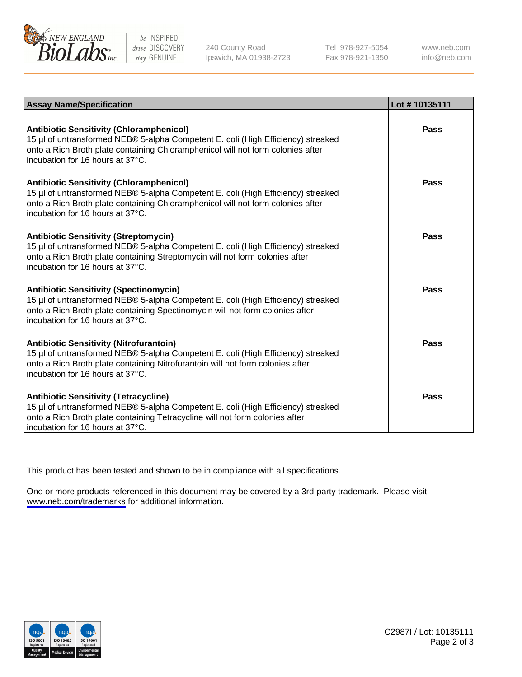

be INSPIRED drive DISCOVERY stay GENUINE

240 County Road Ipswich, MA 01938-2723 Tel 978-927-5054 Fax 978-921-1350

www.neb.com info@neb.com

| <b>Assay Name/Specification</b>                                                                                                                                                                                                                            | Lot #10135111 |
|------------------------------------------------------------------------------------------------------------------------------------------------------------------------------------------------------------------------------------------------------------|---------------|
| <b>Antibiotic Sensitivity (Chloramphenicol)</b><br>15 µl of untransformed NEB® 5-alpha Competent E. coli (High Efficiency) streaked<br>onto a Rich Broth plate containing Chloramphenicol will not form colonies after<br>incubation for 16 hours at 37°C. | Pass          |
| <b>Antibiotic Sensitivity (Chloramphenicol)</b><br>15 µl of untransformed NEB® 5-alpha Competent E. coli (High Efficiency) streaked<br>onto a Rich Broth plate containing Chloramphenicol will not form colonies after<br>incubation for 16 hours at 37°C. | Pass          |
| <b>Antibiotic Sensitivity (Streptomycin)</b><br>15 µl of untransformed NEB® 5-alpha Competent E. coli (High Efficiency) streaked<br>onto a Rich Broth plate containing Streptomycin will not form colonies after<br>incubation for 16 hours at 37°C.       | Pass          |
| <b>Antibiotic Sensitivity (Spectinomycin)</b><br>15 µl of untransformed NEB® 5-alpha Competent E. coli (High Efficiency) streaked<br>onto a Rich Broth plate containing Spectinomycin will not form colonies after<br>incubation for 16 hours at 37°C.     | Pass          |
| <b>Antibiotic Sensitivity (Nitrofurantoin)</b><br>15 µl of untransformed NEB® 5-alpha Competent E. coli (High Efficiency) streaked<br>onto a Rich Broth plate containing Nitrofurantoin will not form colonies after<br>incubation for 16 hours at 37°C.   | Pass          |
| <b>Antibiotic Sensitivity (Tetracycline)</b><br>15 µl of untransformed NEB® 5-alpha Competent E. coli (High Efficiency) streaked<br>onto a Rich Broth plate containing Tetracycline will not form colonies after<br>incubation for 16 hours at 37°C.       | Pass          |

This product has been tested and shown to be in compliance with all specifications.

One or more products referenced in this document may be covered by a 3rd-party trademark. Please visit <www.neb.com/trademarks>for additional information.